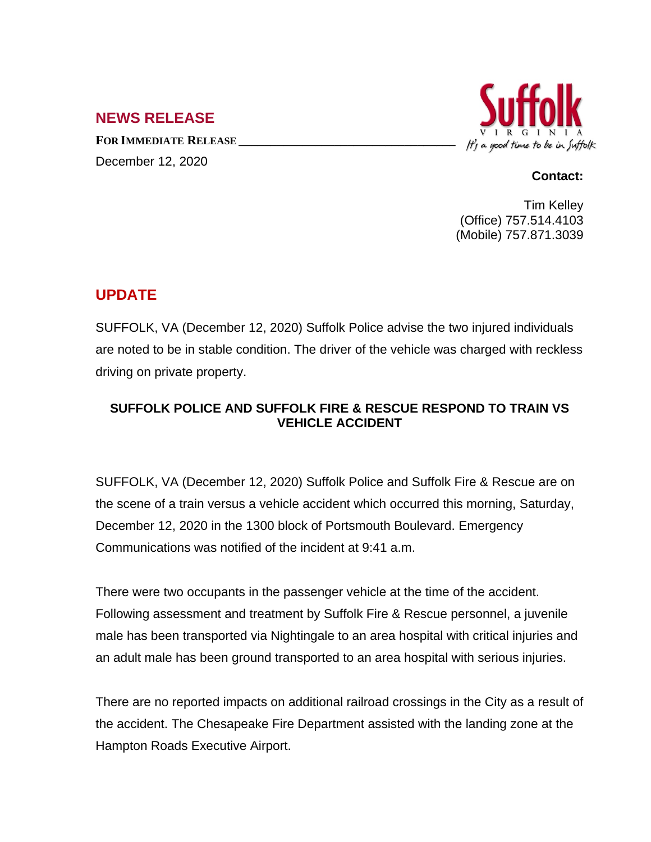## **NEWS RELEASE**

**FOR IMMEDIATE RELEASE \_\_\_\_\_\_\_\_\_\_\_\_\_\_\_\_\_\_\_\_\_\_\_\_\_\_\_\_\_\_\_\_\_\_**



December 12, 2020

## **Contact:**

Tim Kelley (Office) 757.514.4103 (Mobile) 757.871.3039

## **UPDATE**

SUFFOLK, VA (December 12, 2020) Suffolk Police advise the two injured individuals are noted to be in stable condition. The driver of the vehicle was charged with reckless driving on private property.

## **SUFFOLK POLICE AND SUFFOLK FIRE & RESCUE RESPOND TO TRAIN VS VEHICLE ACCIDENT**

SUFFOLK, VA (December 12, 2020) Suffolk Police and Suffolk Fire & Rescue are on the scene of a train versus a vehicle accident which occurred this morning, Saturday, December 12, 2020 in the 1300 block of Portsmouth Boulevard. Emergency Communications was notified of the incident at 9:41 a.m.

There were two occupants in the passenger vehicle at the time of the accident. Following assessment and treatment by Suffolk Fire & Rescue personnel, a juvenile male has been transported via Nightingale to an area hospital with critical injuries and an adult male has been ground transported to an area hospital with serious injuries.

There are no reported impacts on additional railroad crossings in the City as a result of the accident. The Chesapeake Fire Department assisted with the landing zone at the Hampton Roads Executive Airport.